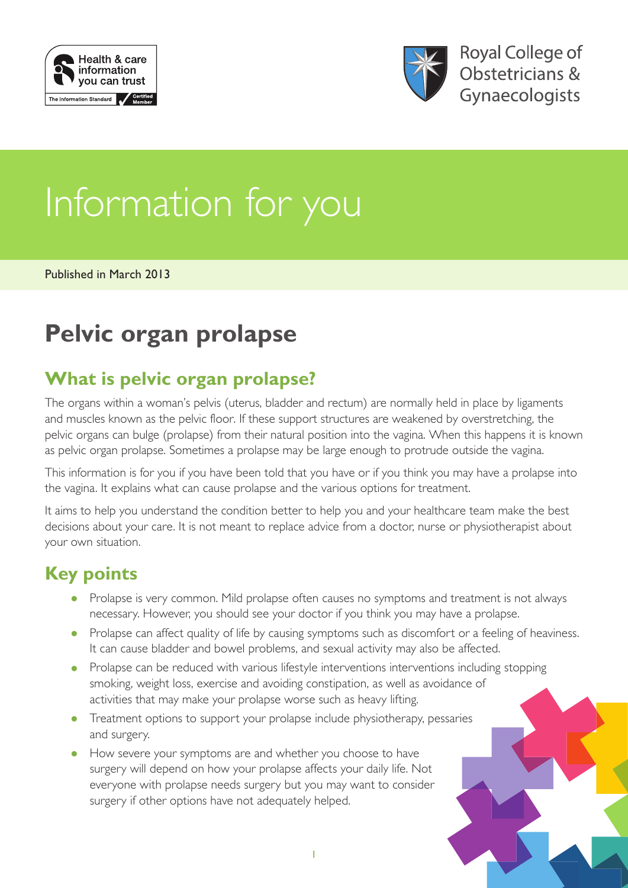



**Royal College of** Obstetricians & Gynaecologists

# Information for you

Published in March 2013

## **Pelvic organ prolapse**

## **What is pelvic organ prolapse?**

The organs within a woman's pelvis (uterus, bladder and rectum) are normally held in place by ligaments and muscles known as the pelvic floor. If these support structures are weakened by overstretching, the pelvic organs can bulge (prolapse) from their natural position into the vagina. When this happens it is known as pelvic organ prolapse. Sometimes a prolapse may be large enough to protrude outside the vagina.

This information is for you if you have been told that you have or if you think you may have a prolapse into the vagina. It explains what can cause prolapse and the various options for treatment.

It aims to help you understand the condition better to help you and your healthcare team make the best decisions about your care. It is not meant to replace advice from a doctor, nurse or physiotherapist about your own situation.

## **Key points**

- Prolapse is very common. Mild prolapse often causes no symptoms and treatment is not always necessary. However, you should see your doctor if you think you may have a prolapse.
- Prolapse can affect quality of life by causing symptoms such as discomfort or a feeling of heaviness. It can cause bladder and bowel problems, and sexual activity may also be affected.
- Prolapse can be reduced with various lifestyle interventions interventions including stopping smoking, weight loss, exercise and avoiding constipation, as well as avoidance of activities that may make your prolapse worse such as heavy lifting.
- Treatment options to support your prolapse include physiotherapy, pessaries and surgery.
- How severe your symptoms are and whether you choose to have surgery will depend on how your prolapse affects your daily life. Not everyone with prolapse needs surgery but you may want to consider surgery if other options have not adequately helped.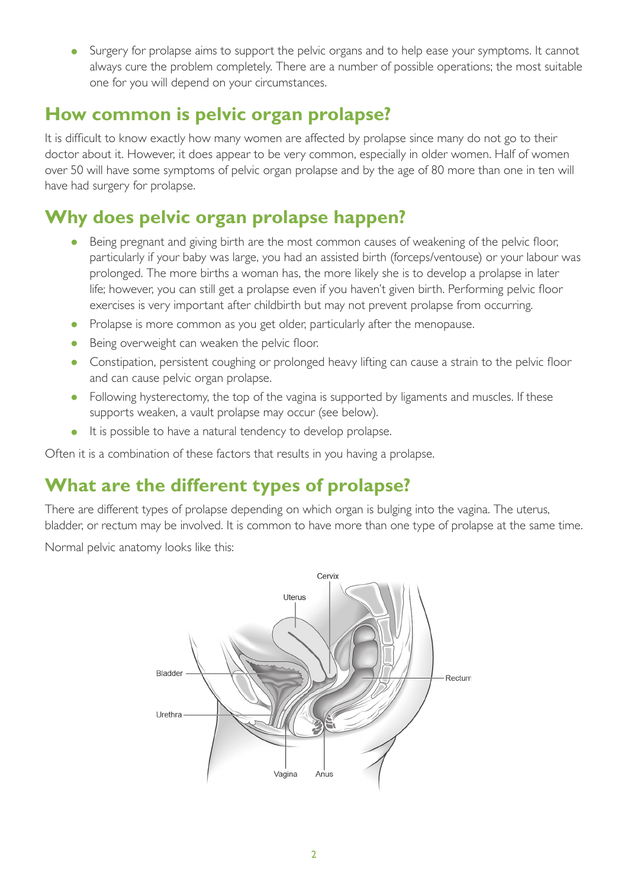• Surgery for prolapse aims to support the pelvic organs and to help ease your symptoms. It cannot always cure the problem completely. There are a number of possible operations; the most suitable one for you will depend on your circumstances.

## **How common is pelvic organ prolapse?**

It is difficult to know exactly how many women are affected by prolapse since many do not go to their doctor about it. However, it does appear to be very common, especially in older women. Half of women over 50 will have some symptoms of pelvic organ prolapse and by the age of 80 more than one in ten will have had surgery for prolapse.

## **Why does pelvic organ prolapse happen?**

- Being pregnant and giving birth are the most common causes of weakening of the pelvic floor, particularly if your baby was large, you had an assisted birth (forceps/ventouse) or your labour was prolonged. The more births a woman has, the more likely she is to develop a prolapse in later life; however, you can still get a prolapse even if you haven't given birth. Performing pelvic floor exercises is very important after childbirth but may not prevent prolapse from occurring.
- Prolapse is more common as you get older, particularly after the menopause.
- Being overweight can weaken the pelvic floor.
- Constipation, persistent coughing or prolonged heavy lifting can cause a strain to the pelvic floor and can cause pelvic organ prolapse.
- Following hysterectomy, the top of the vagina is supported by ligaments and muscles. If these supports weaken, a vault prolapse may occur (see below).
- It is possible to have a natural tendency to develop prolapse.

Often it is a combination of these factors that results in you having a prolapse.

## **What are the different types of prolapse?**

There are different types of prolapse depending on which organ is bulging into the vagina. The uterus, bladder, or rectum may be involved. It is common to have more than one type of prolapse at the same time.

Normal pelvic anatomy looks like this:

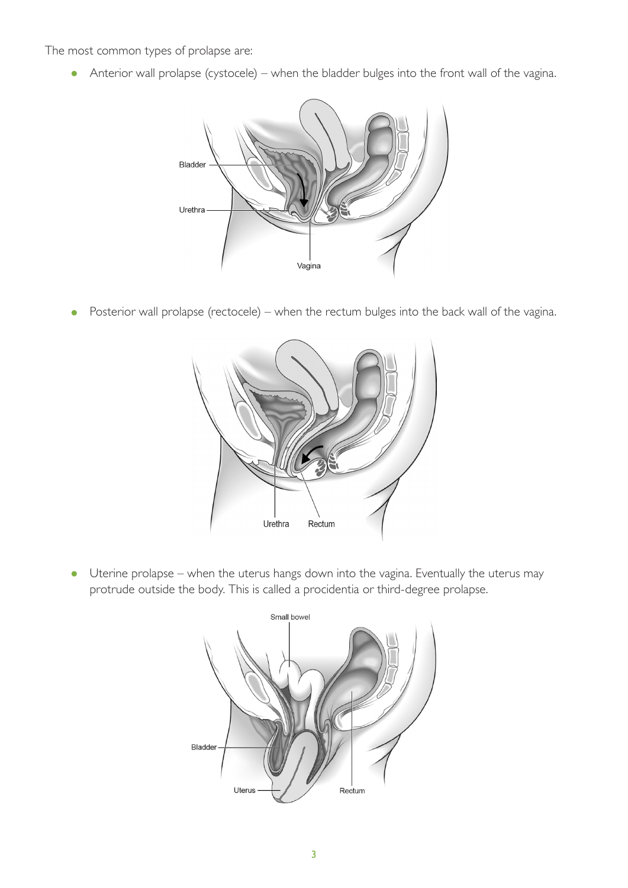The most common types of prolapse are:

• Anterior wall prolapse (cystocele) – when the bladder bulges into the front wall of the vagina.



• Posterior wall prolapse (rectocele) – when the rectum bulges into the back wall of the vagina.



• Uterine prolapse – when the uterus hangs down into the vagina. Eventually the uterus may protrude outside the body. This is called a procidentia or third-degree prolapse.

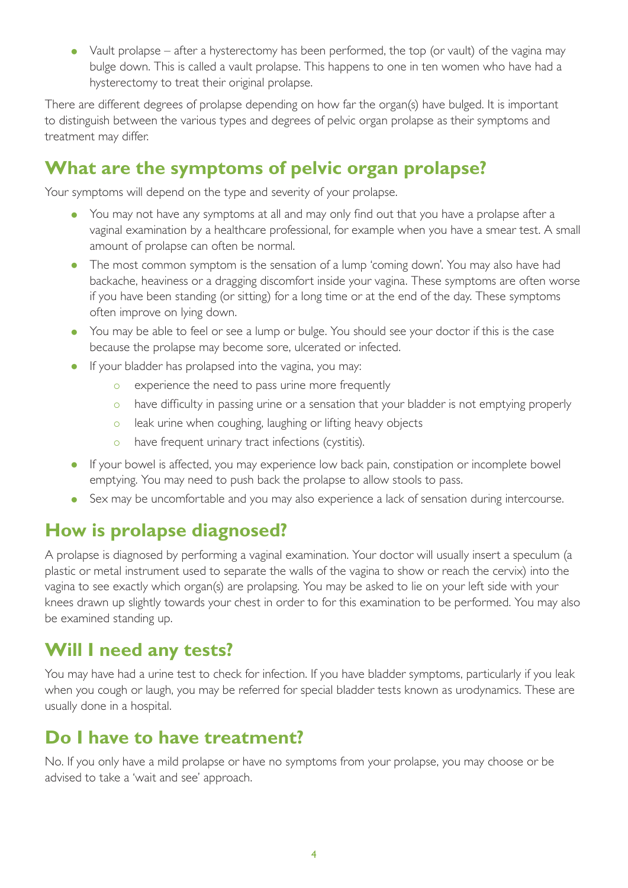• Vault prolapse – after a hysterectomy has been performed, the top (or vault) of the vagina may bulge down. This is called a vault prolapse. This happens to one in ten women who have had a hysterectomy to treat their original prolapse.

There are different degrees of prolapse depending on how far the organ(s) have bulged. It is important to distinguish between the various types and degrees of pelvic organ prolapse as their symptoms and treatment may differ.

## **What are the symptoms of pelvic organ prolapse?**

Your symptoms will depend on the type and severity of your prolapse.

- You may not have any symptoms at all and may only find out that you have a prolapse after a vaginal examination by a healthcare professional, for example when you have a smear test. A small amount of prolapse can often be normal.
- The most common symptom is the sensation of a lump 'coming down'. You may also have had backache, heaviness or a dragging discomfort inside your vagina. These symptoms are often worse if you have been standing (or sitting) for a long time or at the end of the day. These symptoms often improve on lying down.
- You may be able to feel or see a lump or bulge. You should see your doctor if this is the case because the prolapse may become sore, ulcerated or infected.
- If your bladder has prolapsed into the vagina, you may:
	- o experience the need to pass urine more frequently
	- o have difficulty in passing urine or a sensation that your bladder is not emptying properly
	- o leak urine when coughing, laughing or lifting heavy objects
	- o have frequent urinary tract infections (cystitis).
- If your bowel is affected, you may experience low back pain, constipation or incomplete bowel emptying. You may need to push back the prolapse to allow stools to pass.
- Sex may be uncomfortable and you may also experience a lack of sensation during intercourse.

## **How is prolapse diagnosed?**

A prolapse is diagnosed by performing a vaginal examination. Your doctor will usually insert a speculum (a plastic or metal instrument used to separate the walls of the vagina to show or reach the cervix) into the vagina to see exactly which organ(s) are prolapsing. You may be asked to lie on your left side with your knees drawn up slightly towards your chest in order to for this examination to be performed. You may also be examined standing up.

## **Will I need any tests?**

You may have had a urine test to check for infection. If you have bladder symptoms, particularly if you leak when you cough or laugh, you may be referred for special bladder tests known as urodynamics. These are usually done in a hospital.

## **Do I have to have treatment?**

No. If you only have a mild prolapse or have no symptoms from your prolapse, you may choose or be advised to take a 'wait and see' approach.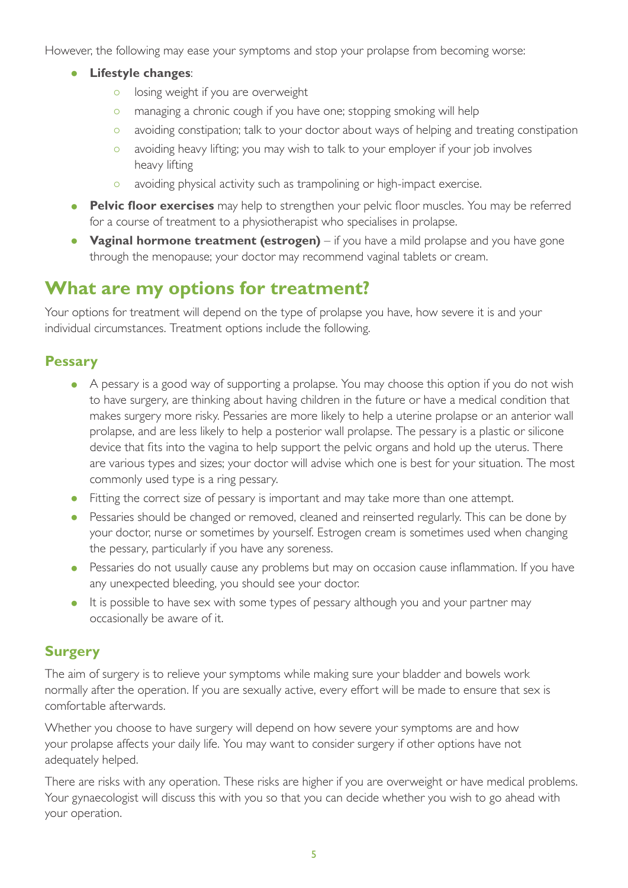However, the following may ease your symptoms and stop your prolapse from becoming worse:

- **Lifestyle changes**:
	- o losing weight if you are overweight
	- o managing a chronic cough if you have one; stopping smoking will help
	- o avoiding constipation; talk to your doctor about ways of helping and treating constipation
	- o avoiding heavy lifting; you may wish to talk to your employer if your job involves heavy lifting
	- o avoiding physical activity such as trampolining or high-impact exercise.
- **Pelvic floor exercises** may help to strengthen your pelvic floor muscles. You may be referred for a course of treatment to a physiotherapist who specialises in prolapse.
- **Vaginal hormone treatment (estrogen)** if you have a mild prolapse and you have gone through the menopause; your doctor may recommend vaginal tablets or cream.

## **What are my options for treatment?**

Your options for treatment will depend on the type of prolapse you have, how severe it is and your individual circumstances. Treatment options include the following.

#### **Pessary**

- A pessary is a good way of supporting a prolapse. You may choose this option if you do not wish to have surgery, are thinking about having children in the future or have a medical condition that makes surgery more risky. Pessaries are more likely to help a uterine prolapse or an anterior wall prolapse, and are less likely to help a posterior wall prolapse. The pessary is a plastic or silicone device that fits into the vagina to help support the pelvic organs and hold up the uterus. There are various types and sizes; your doctor will advise which one is best for your situation. The most commonly used type is a ring pessary.
- Fitting the correct size of pessary is important and may take more than one attempt.
- Pessaries should be changed or removed, cleaned and reinserted regularly. This can be done by your doctor, nurse or sometimes by yourself. Estrogen cream is sometimes used when changing the pessary, particularly if you have any soreness.
- Pessaries do not usually cause any problems but may on occasion cause inflammation. If you have any unexpected bleeding, you should see your doctor.
- It is possible to have sex with some types of pessary although you and your partner may occasionally be aware of it.

#### **Surgery**

The aim of surgery is to relieve your symptoms while making sure your bladder and bowels work normally after the operation. If you are sexually active, every effort will be made to ensure that sex is comfortable afterwards.

Whether you choose to have surgery will depend on how severe your symptoms are and how your prolapse affects your daily life. You may want to consider surgery if other options have not adequately helped.

There are risks with any operation. These risks are higher if you are overweight or have medical problems. Your gynaecologist will discuss this with you so that you can decide whether you wish to go ahead with your operation.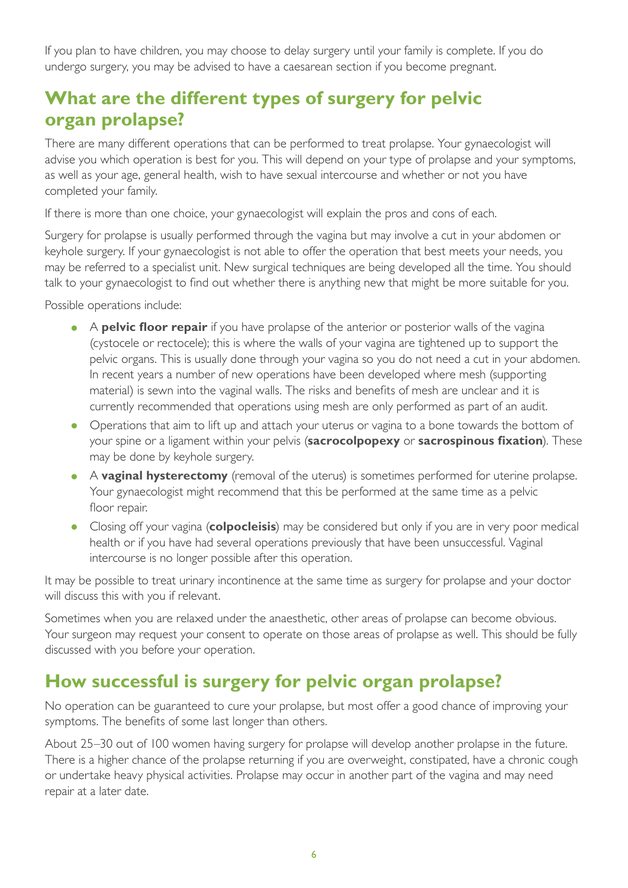If you plan to have children, you may choose to delay surgery until your family is complete. If you do undergo surgery, you may be advised to have a caesarean section if you become pregnant.

## **What are the different types of surgery for pelvic organ prolapse?**

There are many different operations that can be performed to treat prolapse. Your gynaecologist will advise you which operation is best for you. This will depend on your type of prolapse and your symptoms, as well as your age, general health, wish to have sexual intercourse and whether or not you have completed your family.

If there is more than one choice, your gynaecologist will explain the pros and cons of each.

Surgery for prolapse is usually performed through the vagina but may involve a cut in your abdomen or keyhole surgery. If your gynaecologist is not able to offer the operation that best meets your needs, you may be referred to a specialist unit. New surgical techniques are being developed all the time. You should talk to your gynaecologist to find out whether there is anything new that might be more suitable for you.

Possible operations include:

- A **pelvic floor repair** if you have prolapse of the anterior or posterior walls of the vagina (cystocele or rectocele); this is where the walls of your vagina are tightened up to support the pelvic organs. This is usually done through your vagina so you do not need a cut in your abdomen. In recent years a number of new operations have been developed where mesh (supporting material) is sewn into the vaginal walls. The risks and benefits of mesh are unclear and it is currently recommended that operations using mesh are only performed as part of an audit.
- Operations that aim to lift up and attach your uterus or vagina to a bone towards the bottom of your spine or a ligament within your pelvis (**sacrocolpopexy** or **sacrospinous fixation**). These may be done by keyhole surgery.
- <sup>A</sup>**vaginal hysterectomy** (removal of the uterus) is sometimes performed for uterine prolapse. Your gynaecologist might recommend that this be performed at the same time as a pelvic floor repair.
- Closing off your vagina (**colpocleisis**) may be considered but only if you are in very poor medical health or if you have had several operations previously that have been unsuccessful. Vaginal intercourse is no longer possible after this operation.

It may be possible to treat urinary incontinence at the same time as surgery for prolapse and your doctor will discuss this with you if relevant.

Sometimes when you are relaxed under the anaesthetic, other areas of prolapse can become obvious. Your surgeon may request your consent to operate on those areas of prolapse as well. This should be fully discussed with you before your operation.

## **How successful is surgery for pelvic organ prolapse?**

No operation can be guaranteed to cure your prolapse, but most offer a good chance of improving your symptoms. The benefits of some last longer than others.

About 25–30 out of 100 women having surgery for prolapse will develop another prolapse in the future. There is a higher chance of the prolapse returning if you are overweight, constipated, have a chronic cough or undertake heavy physical activities. Prolapse may occur in another part of the vagina and may need repair at a later date.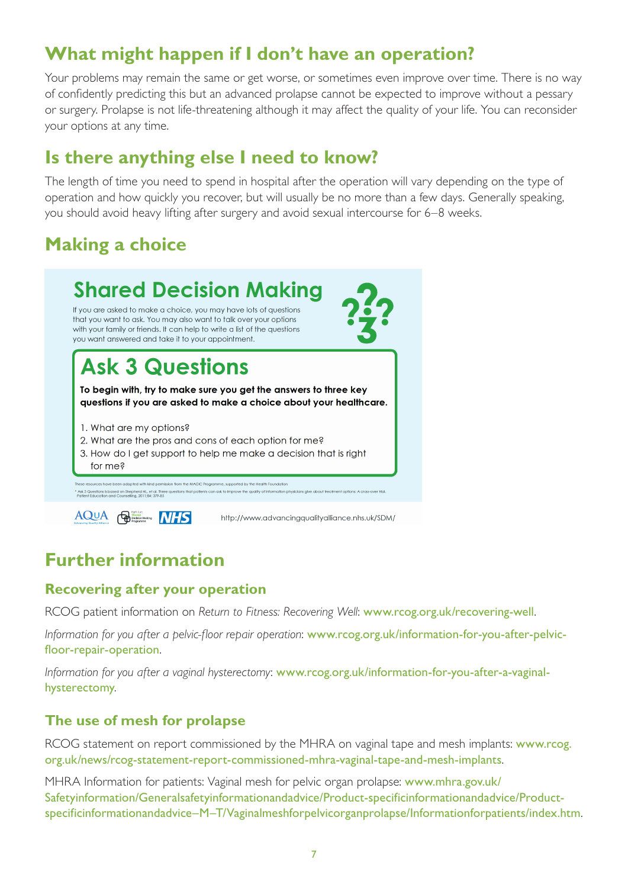## **What might happen if I don't have an operation?**

Your problems may remain the same or get worse, or sometimes even improve over time. There is no way of confidently predicting this but an advanced prolapse cannot be expected to improve without a pessary or surgery. Prolapse is not life-threatening although it may affect the quality of your life. You can reconsider your options at any time.

## **Is there anything else I need to know?**

The length of time you need to spend in hospital after the operation will vary depending on the type of operation and how quickly you recover, but will usually be no more than a few days. Generally speaking, you should avoid heavy lifting after surgery and avoid sexual intercourse for 6–8 weeks.

## **Making a choice**



## **Further information**

#### **Recovering after your operation**

RCOG patient information on *[Return to Fitness: Recovering Well](http://www.rcog.org.uk/recovering-well)*: [www.rcog.org.uk/recovering-well](http://www.rcog.org.uk/recovering-well).

*Information for you after a pelvic-floor repair operation*: [www.rcog.org.uk/information-for-you-after-pelvic](http://www.rcog.org.uk/information-for-you-after-pelvic-floor-repair-operation)[floor-repair-operation](http://www.rcog.org.uk/information-for-you-after-pelvic-floor-repair-operation).

*Information for you after a vaginal hysterectomy*: [www.rcog.org.uk/information-for-you-after-a-vaginal](http://www.rcog.org.uk/information-for-you-after-a-vaginal-hysterectomy)[hysterectomy](http://www.rcog.org.uk/information-for-you-after-a-vaginal-hysterectomy).

#### **The use of mesh for prolapse**

RCOG statement on report commissioned by the MHRA on vaginal tape and mesh implants: [www.rcog.](http://www.rcog.org.uk/news/rcog-statement-report-commissioned-mhra-vaginal-tape-and-mesh-implants) [org.uk/news/rcog-statement-report-commissioned-mhra-vaginal-tape-and-mesh-implants](http://www.rcog.org.uk/news/rcog-statement-report-commissioned-mhra-vaginal-tape-and-mesh-implants).

MHRA Information for patients: Vaginal mesh for pelvic organ prolapse: www.mhra.gov.uk/ Safetyinformation/Generalsafetyinformationandadvice/Product-specificinformationandadvice/Productspecificinformationandadvice–M–T/Vaginalmeshforpelvicorganprolapse/Informationforpatients/index.htm.